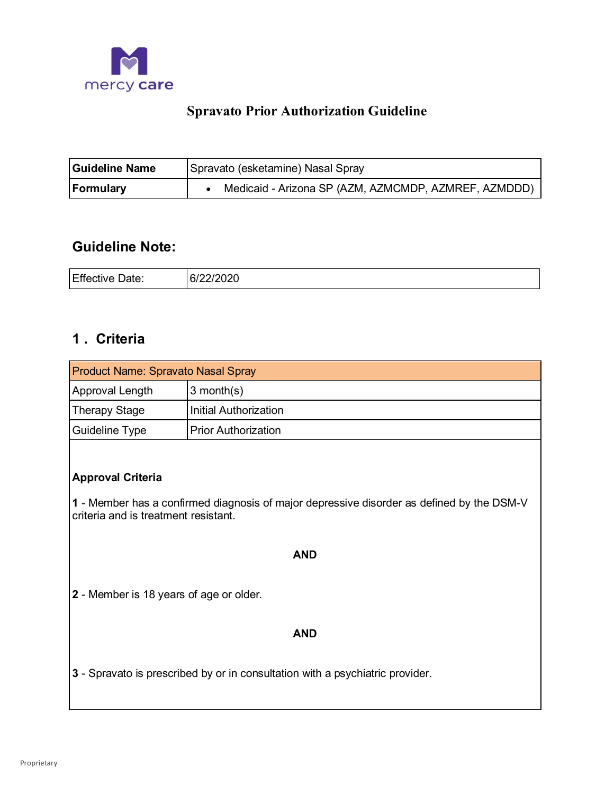

# **Spravato Prior Authorization Guideline**

| <b>Guideline Name</b> | Spravato (esketamine) Nasal Spray                    |
|-----------------------|------------------------------------------------------|
| Formulary             | Medicaid - Arizona SP (AZM, AZMCMDP, AZMREF, AZMDDD) |

# **Guideline Note:**

| Effective | مومورومات               |
|-----------|-------------------------|
| Date:     | <i><b>OIZZIZUZU</b></i> |
| - - -     | ___                     |

# **1 . Criteria**

| <b>Product Name: Spravato Nasal Spray</b> |                            |
|-------------------------------------------|----------------------------|
| Approval Length                           | $3$ month(s)               |
| Therapy Stage                             | Initial Authorization      |
| Guideline Type                            | <b>Prior Authorization</b> |

# **Approval Criteria**

**1** - Member has a confirmed diagnosis of major depressive disorder as defined by the DSM-V criteria and is treatment resistant.

# **AND**

**2** - Member is 18 years of age or older.

## **AND**

**3** - Spravato is prescribed by or in consultation with a psychiatric provider.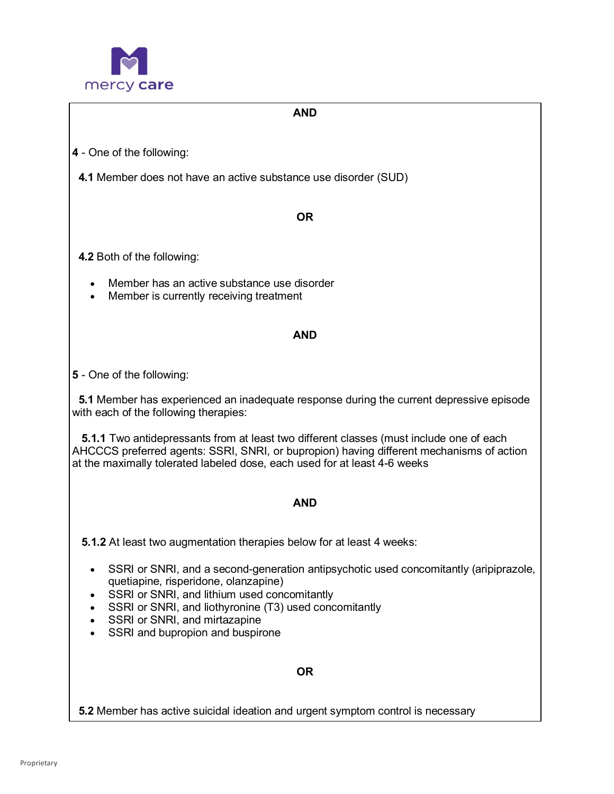

# **AND**

**4** - One of the following:

 **4.1** Member does not have an active substance use disorder (SUD)

#### **OR**

**4.2** Both of the following:

- Member has an active substance use disorder
- Member is currently receiving treatment

## **AND**

## **5** - One of the following:

  **5.1** Member has experienced an inadequate response during the current depressive episode with each of the following therapies:

 AHCCCS preferred agents: SSRI, SNRI, or bupropion) having different mechanisms of action at the maximally tolerated labeled dose, each used for at least 4-6 weeks **5.1.1** Two antidepressants from at least two different classes (must include one of each

#### **AND**

**5.1.2** At least two augmentation therapies below for at least 4 weeks:

- • SSRI or SNRI, and a second-generation antipsychotic used concomitantly (aripiprazole, quetiapine, risperidone, olanzapine)
- SSRI or SNRI, and lithium used concomitantly
- SSRI or SNRI, and liothyronine (T3) used concomitantly
- SSRI or SNRI, and mirtazapine
- SSRI and bupropion and buspirone

**OR** 

**5.2** Member has active suicidal ideation and urgent symptom control is necessary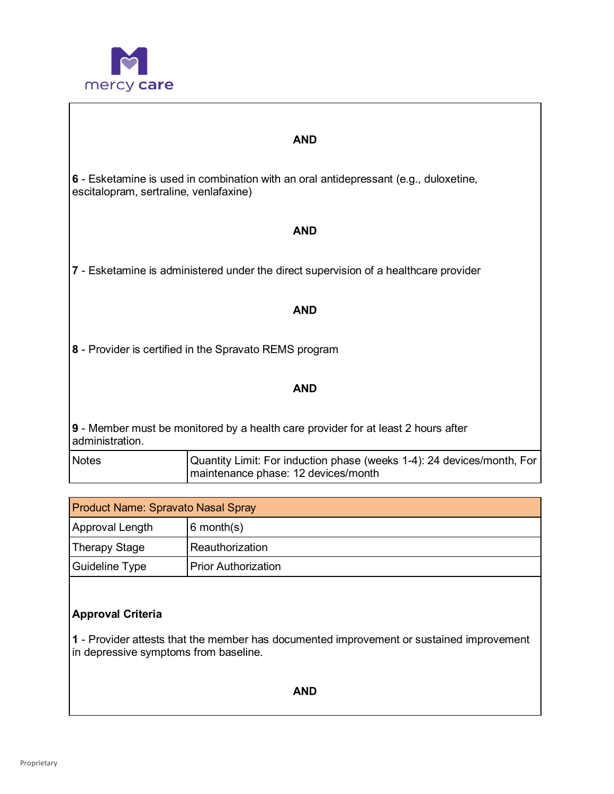

#### **AND**

**6** - Esketamine is used in combination with an oral antidepressant (e.g., duloxetine, escitalopram, sertraline, venlafaxine)

#### **AND**

**7** - Esketamine is administered under the direct supervision of a healthcare provider

#### **AND**

**8** - Provider is certified in the Spravato REMS program

#### **AND**

 **9** - Member must be monitored by a health care provider for at least 2 hours after administration.

| <b>Notes</b> | Quantity Limit: For induction phase (weeks 1-4): 24 devices/month, For |
|--------------|------------------------------------------------------------------------|
|              | maintenance phase: 12 devices/month                                    |

| <b>Product Name: Spravato Nasal Spray</b> |                            |
|-------------------------------------------|----------------------------|
| Approval Length                           | $6$ month $(s)$            |
| Therapy Stage                             | Reauthorization            |
| Guideline Type                            | <b>Prior Authorization</b> |

# **Approval Criteria**

 **1** - Provider attests that the member has documented improvement or sustained improvement in depressive symptoms from baseline.

**AND**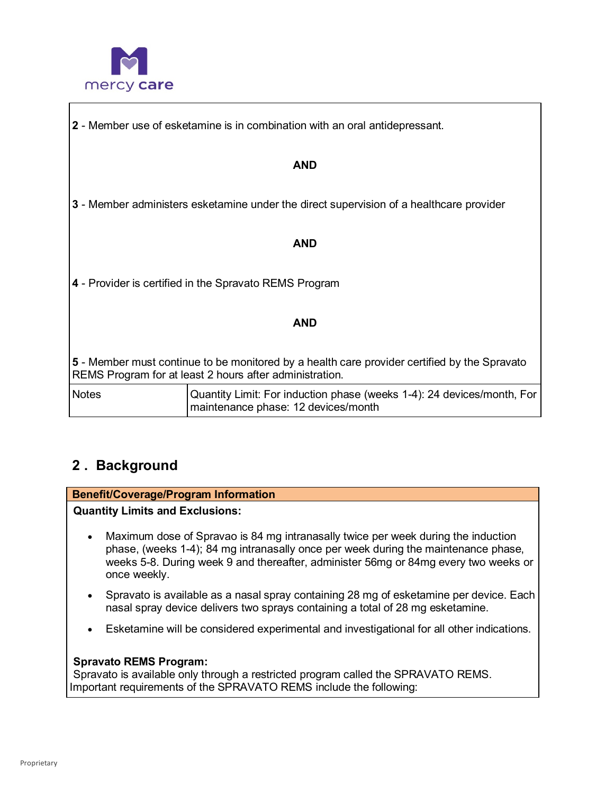

**2** - Member use of esketamine is in combination with an oral antidepressant.

# **AND**

**3** - Member administers esketamine under the direct supervision of a healthcare provider

#### **AND**

**4** - Provider is certified in the Spravato REMS Program

## **AND**

 **5** - Member must continue to be monitored by a health care provider certified by the Spravato REMS Program for at least 2 hours after administration.

| <b>Notes</b> | Quantity Limit: For induction phase (weeks 1-4): 24 devices/month, For |
|--------------|------------------------------------------------------------------------|
|              | maintenance phase: 12 devices/month                                    |

# **2 . Background**

## **Benefit/Coverage/Program Information**

 **Quantity Limits and Exclusions:** 

- • Maximum dose of Spravao is 84 mg intranasally twice per week during the induction phase, (weeks 1-4); 84 mg intranasally once per week during the maintenance phase, weeks 5-8. During week 9 and thereafter, administer 56mg or 84mg every two weeks or once weekly.
- • Spravato is available as a nasal spray containing 28 mg of esketamine per device. Each nasal spray device delivers two sprays containing a total of 28 mg esketamine.
- Esketamine will be considered experimental and investigational for all other indications.

## **Spravato REMS Program:**

 Spravato is available only through a restricted program called the SPRAVATO REMS. Important requirements of the SPRAVATO REMS include the following: